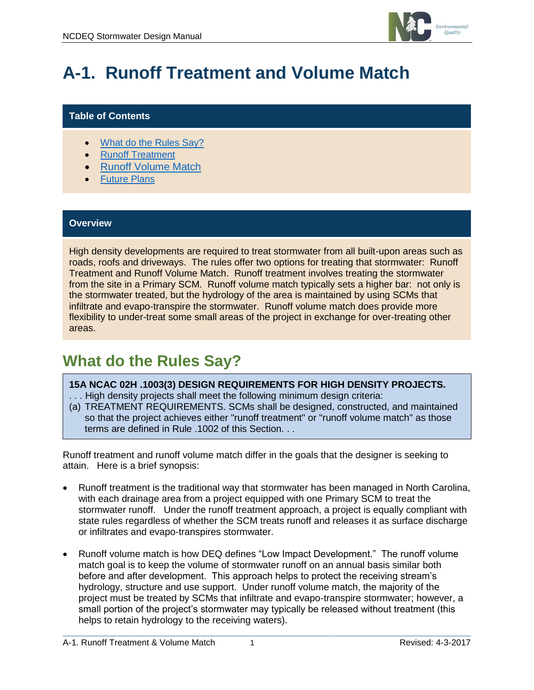

# **A-1. Runoff Treatment and Volume Match**

#### **Table of Contents**

- [What do the Rules Say?](#page-0-0)
- **[Runoff Treatment](#page-1-0)**
- [Runoff Volume Match](#page-1-1)
- [Future Plans](#page-3-0)

#### **Overview**

High density developments are required to treat stormwater from all built-upon areas such as roads, roofs and driveways. The rules offer two options for treating that stormwater: Runoff Treatment and Runoff Volume Match. Runoff treatment involves treating the stormwater from the site in a Primary SCM. Runoff volume match typically sets a higher bar: not only is the stormwater treated, but the hydrology of the area is maintained by using SCMs that infiltrate and evapo-transpire the stormwater. Runoff volume match does provide more flexibility to under-treat some small areas of the project in exchange for over-treating other areas.

### <span id="page-0-0"></span>**What do the Rules Say?**

#### **15A NCAC 02H .1003(3) DESIGN REQUIREMENTS FOR HIGH DENSITY PROJECTS.**

- . . . High density projects shall meet the following minimum design criteria:
- (a) TREATMENT REQUIREMENTS. SCMs shall be designed, constructed, and maintained so that the project achieves either "runoff treatment" or "runoff volume match" as those terms are defined in Rule .1002 of this Section. . .

Runoff treatment and runoff volume match differ in the goals that the designer is seeking to attain. Here is a brief synopsis:

- Runoff treatment is the traditional way that stormwater has been managed in North Carolina, with each drainage area from a project equipped with one Primary SCM to treat the stormwater runoff. Under the runoff treatment approach, a project is equally compliant with state rules regardless of whether the SCM treats runoff and releases it as surface discharge or infiltrates and evapo-transpires stormwater.
- Runoff volume match is how DEQ defines "Low Impact Development." The runoff volume match goal is to keep the volume of stormwater runoff on an annual basis similar both before and after development. This approach helps to protect the receiving stream's hydrology, structure and use support. Under runoff volume match, the majority of the project must be treated by SCMs that infiltrate and evapo-transpire stormwater; however, a small portion of the project's stormwater may typically be released without treatment (this helps to retain hydrology to the receiving waters).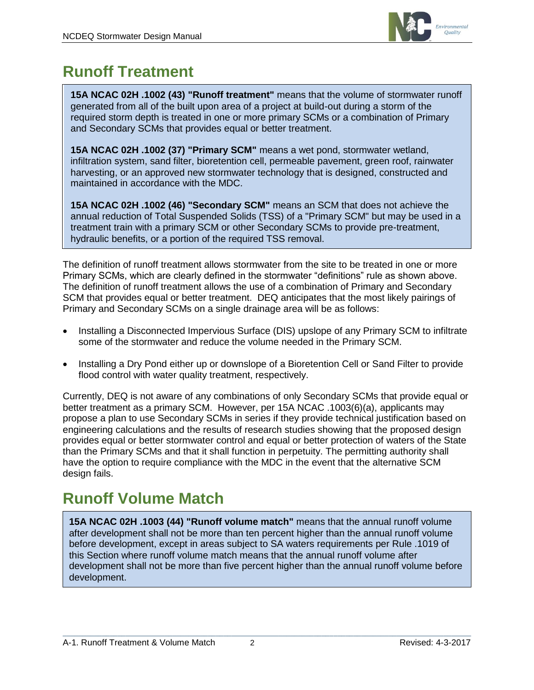

## <span id="page-1-0"></span>**Runoff Treatment**

**15A NCAC 02H .1002 (43) "Runoff treatment"** means that the volume of stormwater runoff generated from all of the built upon area of a project at build-out during a storm of the required storm depth is treated in one or more primary SCMs or a combination of Primary and Secondary SCMs that provides equal or better treatment.

**15A NCAC 02H .1002 (37) "Primary SCM"** means a wet pond, stormwater wetland, infiltration system, sand filter, bioretention cell, permeable pavement, green roof, rainwater harvesting, or an approved new stormwater technology that is designed, constructed and maintained in accordance with the MDC.

**15A NCAC 02H .1002 (46) "Secondary SCM"** means an SCM that does not achieve the annual reduction of Total Suspended Solids (TSS) of a "Primary SCM" but may be used in a treatment train with a primary SCM or other Secondary SCMs to provide pre-treatment, hydraulic benefits, or a portion of the required TSS removal.

The definition of runoff treatment allows stormwater from the site to be treated in one or more Primary SCMs, which are clearly defined in the stormwater "definitions" rule as shown above. The definition of runoff treatment allows the use of a combination of Primary and Secondary SCM that provides equal or better treatment. DEQ anticipates that the most likely pairings of Primary and Secondary SCMs on a single drainage area will be as follows:

- Installing a Disconnected Impervious Surface (DIS) upslope of any Primary SCM to infiltrate some of the stormwater and reduce the volume needed in the Primary SCM.
- Installing a Dry Pond either up or downslope of a Bioretention Cell or Sand Filter to provide flood control with water quality treatment, respectively.

Currently, DEQ is not aware of any combinations of only Secondary SCMs that provide equal or better treatment as a primary SCM. However, per 15A NCAC .1003(6)(a), applicants may propose a plan to use Secondary SCMs in series if they provide technical justification based on engineering calculations and the results of research studies showing that the proposed design provides equal or better stormwater control and equal or better protection of waters of the State than the Primary SCMs and that it shall function in perpetuity. The permitting authority shall have the option to require compliance with the MDC in the event that the alternative SCM design fails.

# <span id="page-1-1"></span>**Runoff Volume Match**

**15A NCAC 02H .1003 (44) "Runoff volume match"** means that the annual runoff volume after development shall not be more than ten percent higher than the annual runoff volume before development, except in areas subject to SA waters requirements per Rule .1019 of this Section where runoff volume match means that the annual runoff volume after development shall not be more than five percent higher than the annual runoff volume before development.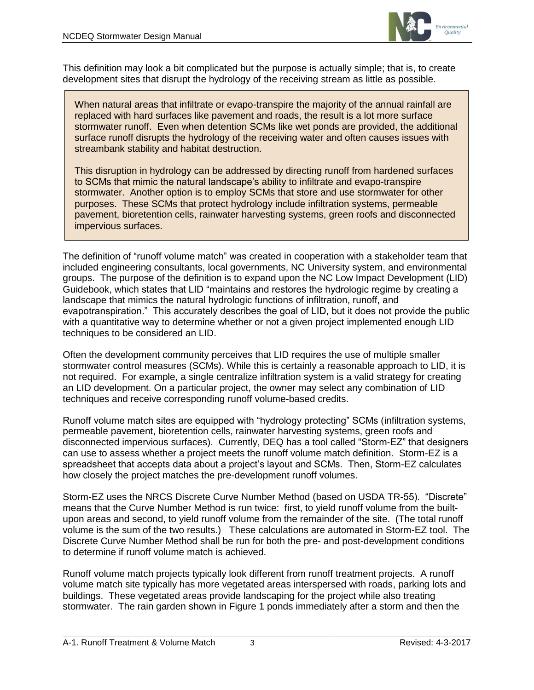

This definition may look a bit complicated but the purpose is actually simple; that is, to create development sites that disrupt the hydrology of the receiving stream as little as possible.

When natural areas that infiltrate or evapo-transpire the majority of the annual rainfall are replaced with hard surfaces like pavement and roads, the result is a lot more surface stormwater runoff. Even when detention SCMs like wet ponds are provided, the additional surface runoff disrupts the hydrology of the receiving water and often causes issues with streambank stability and habitat destruction.

This disruption in hydrology can be addressed by directing runoff from hardened surfaces to SCMs that mimic the natural landscape's ability to infiltrate and evapo-transpire stormwater. Another option is to employ SCMs that store and use stormwater for other purposes. These SCMs that protect hydrology include infiltration systems, permeable pavement, bioretention cells, rainwater harvesting systems, green roofs and disconnected impervious surfaces.

The definition of "runoff volume match" was created in cooperation with a stakeholder team that included engineering consultants, local governments, NC University system, and environmental groups. The purpose of the definition is to expand upon the NC Low Impact Development (LID) Guidebook, which states that LID "maintains and restores the hydrologic regime by creating a landscape that mimics the natural hydrologic functions of infiltration, runoff, and evapotranspiration." This accurately describes the goal of LID, but it does not provide the public with a quantitative way to determine whether or not a given project implemented enough LID techniques to be considered an LID.

Often the development community perceives that LID requires the use of multiple smaller stormwater control measures (SCMs). While this is certainly a reasonable approach to LID, it is not required. For example, a single centralize infiltration system is a valid strategy for creating an LID development. On a particular project, the owner may select any combination of LID techniques and receive corresponding runoff volume-based credits.

Runoff volume match sites are equipped with "hydrology protecting" SCMs (infiltration systems, permeable pavement, bioretention cells, rainwater harvesting systems, green roofs and disconnected impervious surfaces). Currently, DEQ has a tool called "Storm-EZ" that designers can use to assess whether a project meets the runoff volume match definition. Storm-EZ is a spreadsheet that accepts data about a project's layout and SCMs. Then, Storm-EZ calculates how closely the project matches the pre-development runoff volumes.

Storm-EZ uses the NRCS Discrete Curve Number Method (based on USDA TR-55). "Discrete" means that the Curve Number Method is run twice: first, to yield runoff volume from the builtupon areas and second, to yield runoff volume from the remainder of the site. (The total runoff volume is the sum of the two results.) These calculations are automated in Storm-EZ tool. The Discrete Curve Number Method shall be run for both the pre- and post-development conditions to determine if runoff volume match is achieved.

Runoff volume match projects typically look different from runoff treatment projects. A runoff volume match site typically has more vegetated areas interspersed with roads, parking lots and buildings. These vegetated areas provide landscaping for the project while also treating stormwater. The rain garden shown in Figure 1 ponds immediately after a storm and then the